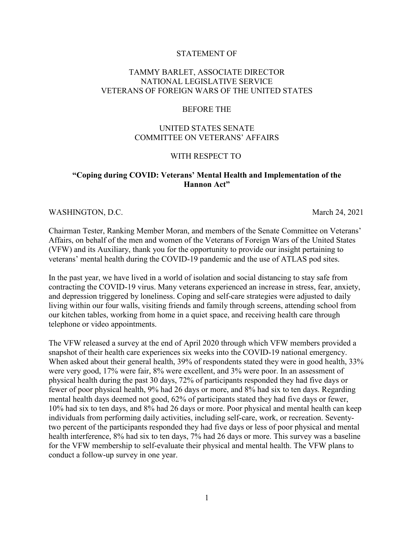### STATEMENT OF

# TAMMY BARLET, ASSOCIATE DIRECTOR NATIONAL LEGISLATIVE SERVICE VETERANS OF FOREIGN WARS OF THE UNITED STATES

#### BEFORE THE

# UNITED STATES SENATE COMMITTEE ON VETERANS' AFFAIRS

## WITH RESPECT TO

# **"Coping during COVID: Veterans' Mental Health and Implementation of the Hannon Act"**

#### WASHINGTON, D.C. March 24, 2021

Chairman Tester, Ranking Member Moran, and members of the Senate Committee on Veterans' Affairs, on behalf of the men and women of the Veterans of Foreign Wars of the United States (VFW) and its Auxiliary, thank you for the opportunity to provide our insight pertaining to veterans' mental health during the COVID-19 pandemic and the use of ATLAS pod sites.

In the past year, we have lived in a world of isolation and social distancing to stay safe from contracting the COVID-19 virus. Many veterans experienced an increase in stress, fear, anxiety, and depression triggered by loneliness. Coping and self-care strategies were adjusted to daily living within our four walls, visiting friends and family through screens, attending school from our kitchen tables, working from home in a quiet space, and receiving health care through telephone or video appointments.

The VFW released a survey at the end of April 2020 through which VFW members provided a snapshot of their health care experiences six weeks into the COVID-19 national emergency. When asked about their general health, 39% of respondents stated they were in good health, 33% were very good, 17% were fair, 8% were excellent, and 3% were poor. In an assessment of physical health during the past 30 days, 72% of participants responded they had five days or fewer of poor physical health, 9% had 26 days or more, and 8% had six to ten days. Regarding mental health days deemed not good, 62% of participants stated they had five days or fewer, 10% had six to ten days, and 8% had 26 days or more. Poor physical and mental health can keep individuals from performing daily activities, including self-care, work, or recreation. Seventytwo percent of the participants responded they had five days or less of poor physical and mental health interference, 8% had six to ten days, 7% had 26 days or more. This survey was a baseline for the VFW membership to self-evaluate their physical and mental health. The VFW plans to conduct a follow-up survey in one year.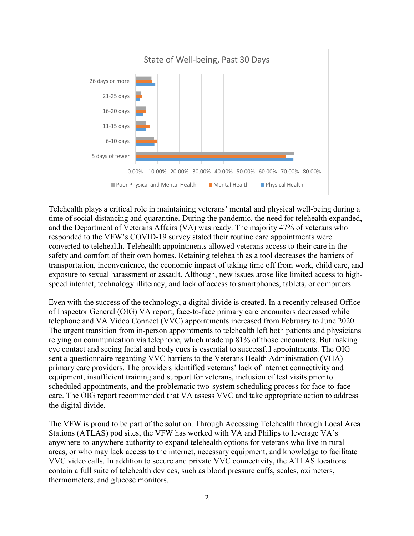

Telehealth plays a critical role in maintaining veterans' mental and physical well-being during a time of social distancing and quarantine. During the pandemic, the need for telehealth expanded, and the Department of Veterans Affairs (VA) was ready. The majority 47% of veterans who responded to the VFW's COVID-19 survey stated their routine care appointments were converted to telehealth. Telehealth appointments allowed veterans access to their care in the safety and comfort of their own homes. Retaining telehealth as a tool decreases the barriers of transportation, inconvenience, the economic impact of taking time off from work, child care, and exposure to sexual harassment or assault. Although, new issues arose like limited access to highspeed internet, technology illiteracy, and lack of access to smartphones, tablets, or computers.

Even with the success of the technology, a digital divide is created. In a recently released Office of Inspector General (OIG) VA report, face-to-face primary care encounters decreased while telephone and VA Video Connect (VVC) appointments increased from February to June 2020. The urgent transition from in-person appointments to telehealth left both patients and physicians relying on communication via telephone, which made up 81% of those encounters. But making eye contact and seeing facial and body cues is essential to successful appointments. The OIG sent a questionnaire regarding VVC barriers to the Veterans Health Administration (VHA) primary care providers. The providers identified veterans' lack of internet connectivity and equipment, insufficient training and support for veterans, inclusion of test visits prior to scheduled appointments, and the problematic two-system scheduling process for face-to-face care. The OIG report recommended that VA assess VVC and take appropriate action to address the digital divide.

The VFW is proud to be part of the solution. Through Accessing Telehealth through Local Area Stations (ATLAS) pod sites, the VFW has worked with VA and Philips to leverage VA's anywhere-to-anywhere authority to expand telehealth options for veterans who live in rural areas, or who may lack access to the internet, necessary equipment, and knowledge to facilitate VVC video calls. In addition to secure and private VVC connectivity, the ATLAS locations contain a full suite of telehealth devices, such as blood pressure cuffs, scales, oximeters, thermometers, and glucose monitors.